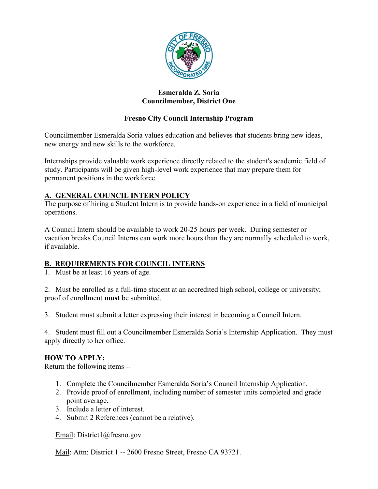

#### **Esmeralda Z. Soria Councilmember, District One**

## **Fresno City Council Internship Program**

Councilmember Esmeralda Soria values education and believes that students bring new ideas, new energy and new skills to the workforce.

Internships provide valuable work experience directly related to the student's academic field of study. Participants will be given high-level work experience that may prepare them for permanent positions in the workforce.

### **A. GENERAL COUNCIL INTERN POLICY**

The purpose of hiring a Student Intern is to provide hands-on experience in a field of municipal operations.

A Council Intern should be available to work 20-25 hours per week. During semester or vacation breaks Council Interns can work more hours than they are normally scheduled to work, if available.

### **B. REQUIREMENTS FOR COUNCIL INTERNS**

1. Must be at least 16 years of age.

2. Must be enrolled as a full-time student at an accredited high school, college or university; proof of enrollment **must** be submitted.

3. Student must submit a letter expressing their interest in becoming a Council Intern.

4. Student must fill out a Councilmember Esmeralda Soria's Internship Application. They must apply directly to her office.

### **HOW TO APPLY:**

Return the following items --

- 1. Complete the Councilmember Esmeralda Soria's Council Internship Application.
- 2. Provide proof of enrollment, including number of semester units completed and grade point average.
- 3. Include a letter of interest.
- 4. Submit 2 References (cannot be a relative).

Email: District1@fresno.gov

Mail: Attn: District 1 -- 2600 Fresno Street, Fresno CA 93721.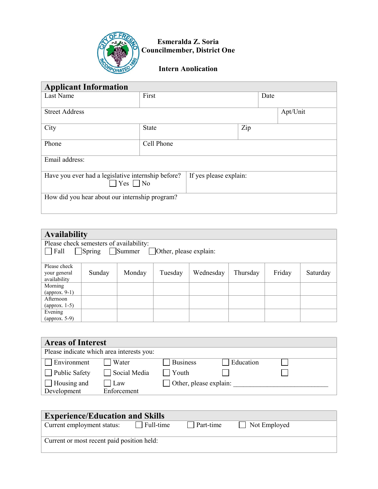

**Esmeralda Z. Soria Councilmember, District One**

**Intern Application**

| <b>Applicant Information</b>                                                  |              |                        |     |      |          |  |
|-------------------------------------------------------------------------------|--------------|------------------------|-----|------|----------|--|
| Last Name                                                                     | First        |                        |     | Date |          |  |
| <b>Street Address</b>                                                         |              |                        |     |      | Apt/Unit |  |
| City                                                                          | <b>State</b> |                        | Zip |      |          |  |
| Phone                                                                         | Cell Phone   |                        |     |      |          |  |
| Email address:                                                                |              |                        |     |      |          |  |
| Have you ever had a legislative internship before?<br>$\exists$ Yes $\Box$ No |              | If yes please explain: |     |      |          |  |
| How did you hear about our internship program?                                |              |                        |     |      |          |  |

| <b>Availability</b>                                       |                                         |        |         |           |          |        |          |
|-----------------------------------------------------------|-----------------------------------------|--------|---------|-----------|----------|--------|----------|
|                                                           | Please check semesters of availability: |        |         |           |          |        |          |
| Fall<br>Spring<br>Summer<br>$\Box$ Other, please explain: |                                         |        |         |           |          |        |          |
|                                                           |                                         |        |         |           |          |        |          |
| Please check<br>your general                              | Sunday                                  | Monday | Tuesday | Wednesday | Thursday | Friday | Saturday |
| availability                                              |                                         |        |         |           |          |        |          |
| Morning                                                   |                                         |        |         |           |          |        |          |
| (approx. $9-1$ )                                          |                                         |        |         |           |          |        |          |
| Afternoon                                                 |                                         |        |         |           |          |        |          |
| (approx. 1-5)                                             |                                         |        |         |           |          |        |          |
| Evening                                                   |                                         |        |         |           |          |        |          |
| (approx. 5-9)                                             |                                         |        |         |           |          |        |          |

| <b>Areas of Interest</b>                  |                    |                               |           |  |
|-------------------------------------------|--------------------|-------------------------------|-----------|--|
| Please indicate which area interests you: |                    |                               |           |  |
| Environment                               | Water              | <b>Business</b>               | Education |  |
| $\Box$ Public Safety                      | Social Media       | Youth                         |           |  |
| $\Box$ Housing and<br>Development         | Law<br>Enforcement | $\Box$ Other, please explain: |           |  |

| <b>Experience/Education and Skills</b>     |           |           |              |  |  |
|--------------------------------------------|-----------|-----------|--------------|--|--|
| Current employment status:                 | Full-time | Part-time | Not Employed |  |  |
| Current or most recent paid position held: |           |           |              |  |  |